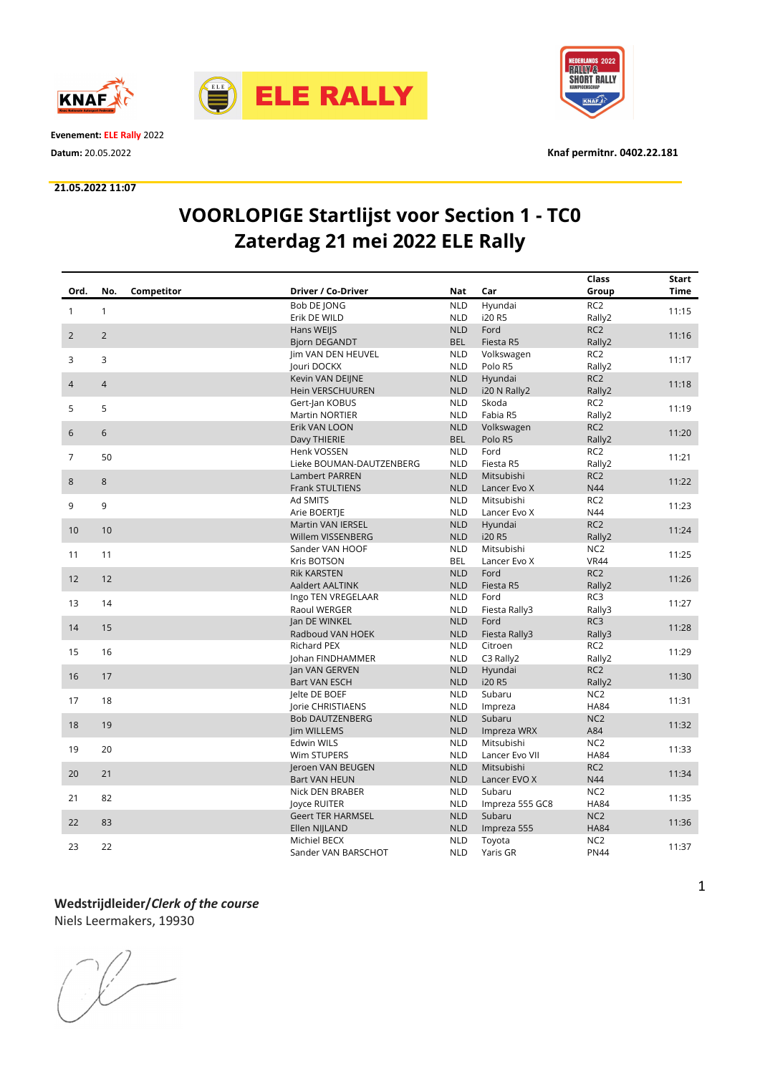



Evenement: ELE Rally 2022

#### 21.05.2022 11:07



Datum: 20.05.2022 Knaf permitnr. 0402.22.181

# VOORLOPIGE Startlijst voor Section 1 - TC0 Zaterdag 21 mei 2022 ELE Rally

|                |                   |                          |            |                 | Class           | Start       |
|----------------|-------------------|--------------------------|------------|-----------------|-----------------|-------------|
| Ord.           | Competitor<br>No. | Driver / Co-Driver       | <b>Nat</b> | Car             | Group           | <b>Time</b> |
|                |                   | Bob DE JONG              | <b>NLD</b> | Hyundai         | RC <sub>2</sub> |             |
| $\mathbf{1}$   | $\mathbf{1}$      | Erik DE WILD             | <b>NLD</b> | i20 R5          | Rally2          | 11:15       |
| $\overline{2}$ | $\overline{2}$    | Hans WEIJS               | <b>NLD</b> | Ford            | RC <sub>2</sub> |             |
|                |                   | <b>Bjorn DEGANDT</b>     | <b>BEL</b> | Fiesta R5       | Rally2          | 11:16       |
| 3              | 3                 | Jim VAN DEN HEUVEL       | <b>NLD</b> | Volkswagen      | RC <sub>2</sub> | 11:17       |
|                |                   | Jouri DOCKX              | <b>NLD</b> | Polo R5         | Rally2          |             |
| $\overline{4}$ | $\overline{4}$    | Kevin VAN DEIJNE         | <b>NLD</b> | Hyundai         | RC <sub>2</sub> | 11:18       |
|                |                   | Hein VERSCHUUREN         | <b>NLD</b> | i20 N Rally2    | Rally2          |             |
| 5              | 5                 | Gert-Jan KOBUS           | <b>NLD</b> | Skoda           | RC <sub>2</sub> | 11:19       |
|                |                   | <b>Martin NORTIER</b>    | <b>NLD</b> | Fabia R5        | Rally2          |             |
| 6              | 6                 | Erik VAN LOON            | <b>NLD</b> | Volkswagen      | RC <sub>2</sub> | 11:20       |
|                |                   | Davy THIERIE             | <b>BEL</b> | Polo R5         | Rally2          |             |
| $\overline{7}$ | 50                | Henk VOSSEN              | <b>NLD</b> | Ford            | RC <sub>2</sub> | 11:21       |
|                |                   | Lieke BOUMAN-DAUTZENBERG | <b>NLD</b> | Fiesta R5       | Rally2          |             |
| 8              | 8                 | Lambert PARREN           | <b>NLD</b> | Mitsubishi      | RC <sub>2</sub> | 11:22       |
|                |                   | Frank STULTIENS          | <b>NLD</b> | Lancer Evo X    | N44             |             |
| 9              | 9                 | Ad SMITS                 | <b>NLD</b> | Mitsubishi      | RC <sub>2</sub> | 11:23       |
|                |                   | Arie BOERTIE             | <b>NLD</b> | Lancer Evo X    | N44             |             |
| 10             | 10                | Martin VAN IERSEL        | <b>NLD</b> | Hyundai         | RC <sub>2</sub> | 11:24       |
|                |                   | Willem VISSENBERG        | <b>NLD</b> | i20 R5          | Rally2          |             |
| 11             | 11                | Sander VAN HOOF          | <b>NLD</b> | Mitsubishi      | NC <sub>2</sub> | 11:25       |
|                |                   | <b>Kris BOTSON</b>       | <b>BEL</b> | Lancer Evo X    | <b>VR44</b>     |             |
| 12             | 12                | <b>Rik KARSTEN</b>       | <b>NLD</b> | Ford            | RC <sub>2</sub> | 11:26       |
|                |                   | Aaldert AALTINK          | <b>NLD</b> | Fiesta R5       | Rally2          |             |
| 13             | 14                | Ingo TEN VREGELAAR       | <b>NLD</b> | Ford            | RC3             | 11:27       |
|                |                   | Raoul WERGER             | <b>NLD</b> | Fiesta Rally3   | Rally3          |             |
| 14             | 15                | Jan DE WINKEL            | <b>NLD</b> | Ford            | RC3             | 11:28       |
|                |                   | Radboud VAN HOEK         | <b>NLD</b> | Fiesta Rally3   | Rally3          |             |
| 15             | 16                | <b>Richard PEX</b>       | <b>NLD</b> | Citroen         | RC <sub>2</sub> | 11:29       |
|                |                   | Johan FINDHAMMER         | <b>NLD</b> | C3 Rally2       | Rally2          |             |
| 16             | 17                | Jan VAN GERVEN           | <b>NLD</b> | Hyundai         | RC <sub>2</sub> | 11:30       |
|                |                   | <b>Bart VAN ESCH</b>     | <b>NLD</b> | i20 R5          | Rally2          |             |
| 17             | 18                | Jelte DE BOEF            | <b>NLD</b> | Subaru          | NC <sub>2</sub> | 11:31       |
|                |                   | Jorie CHRISTIAENS        | <b>NLD</b> | Impreza         | <b>HA84</b>     |             |
| 18             | 19                | <b>Bob DAUTZENBERG</b>   | <b>NLD</b> | Subaru          | NC <sub>2</sub> | 11:32       |
|                |                   | <b>Jim WILLEMS</b>       | <b>NLD</b> | Impreza WRX     | A84             |             |
| 19             | 20                | Edwin WILS               | <b>NLD</b> | Mitsubishi      | NC <sub>2</sub> | 11:33       |
|                |                   | Wim STUPERS              | <b>NLD</b> | Lancer Evo VII  | <b>HA84</b>     |             |
| 20             | 21                | Jeroen VAN BEUGEN        | <b>NLD</b> | Mitsubishi      | RC <sub>2</sub> | 11:34       |
|                |                   | <b>Bart VAN HEUN</b>     | <b>NLD</b> | Lancer EVO X    | N44             |             |
| 21             | 82                | Nick DEN BRABER          | <b>NLD</b> | Subaru          | NC <sub>2</sub> | 11:35       |
|                |                   | loyce RUITER             | <b>NLD</b> | Impreza 555 GC8 | <b>HA84</b>     |             |
| 22             | 83                | <b>Geert TER HARMSEL</b> | <b>NLD</b> | Subaru          | NC <sub>2</sub> | 11:36       |
|                |                   | Ellen NIJLAND            | <b>NLD</b> | Impreza 555     | <b>HA84</b>     |             |
| 23             | 22                | Michiel BECX             | <b>NLD</b> | Toyota          | NC <sub>2</sub> | 11:37       |
|                |                   | Sander VAN BARSCHOT      | <b>NLD</b> | Yaris GR        | <b>PN44</b>     |             |

### Wedstrijdleider/Clerk of the course Niels Leermakers, 19930

 $\begin{picture}(220,20) \put(0,0){\dashbox{0.5}(5,0){ }} \thicklines \put(0,0){\dashbox{0.5}(5,0){ }} \thicklines \put(0,0){\dashbox{0.5}(5,0){ }} \thicklines \put(0,0){\dashbox{0.5}(5,0){ }} \thicklines \put(0,0){\dashbox{0.5}(5,0){ }} \thicklines \put(0,0){\dashbox{0.5}(5,0){ }} \thicklines \put(0,0){\dashbox{0.5}(5,0){ }} \thicklines \put(0,0){\dashbox{0.5}(5,0){ }} \thicklines \put(0,0){\dashbox{0.5}(5$ 

1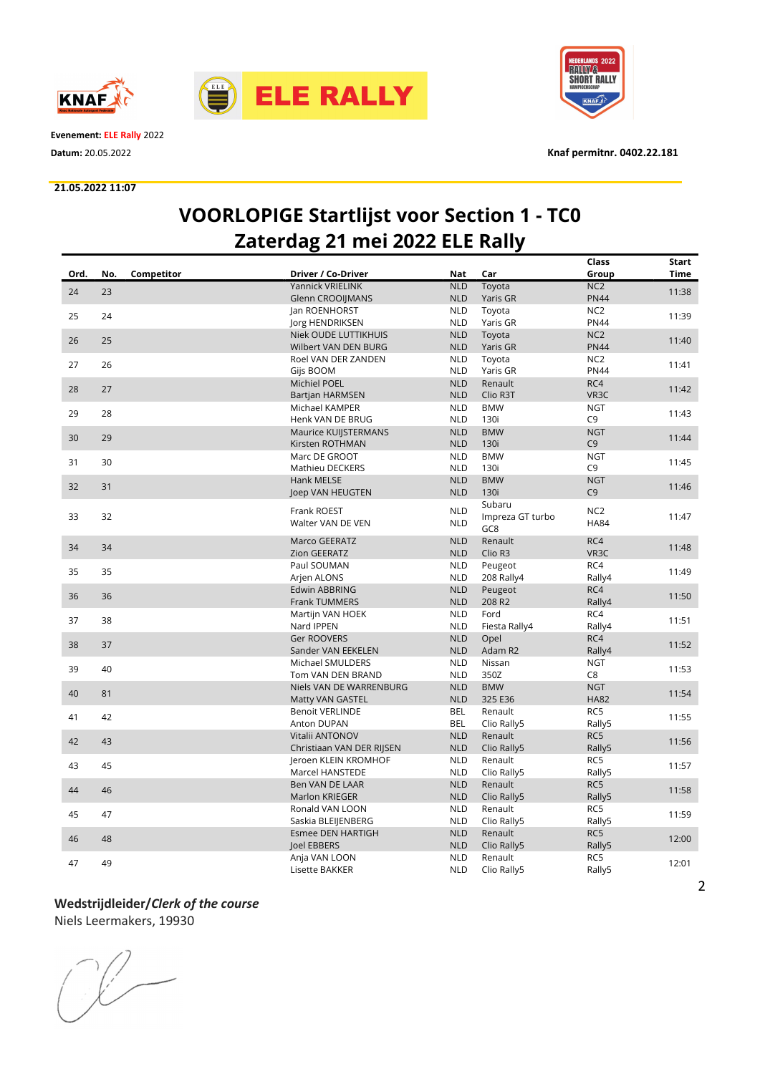



Evenement: ELE Rally 2022

#### 21.05.2022 11:07



Datum: 20.05.2022 Knaf permitnr. 0402.22.181

### VOORLOPIGE Startlijst voor Section 1 - TC0 Zaterdag 21 mei 2022 ELE Rally

|      |     |            |                             |            |                  | Class           | Start       |
|------|-----|------------|-----------------------------|------------|------------------|-----------------|-------------|
| Ord. | No. | Competitor | Driver / Co-Driver          | <b>Nat</b> | Car              | Group           | <b>Time</b> |
|      | 23  |            | <b>Yannick VRIELINK</b>     | <b>NLD</b> | Toyota           | NC <sub>2</sub> |             |
| 24   |     |            | <b>Glenn CROOIIMANS</b>     | <b>NLD</b> | Yaris GR         | <b>PN44</b>     | 11:38       |
|      |     |            | Jan ROENHORST               | <b>NLD</b> | Toyota           | NC <sub>2</sub> |             |
| 25   | 24  |            | Jorg HENDRIKSEN             | <b>NLD</b> | Yaris GR         | <b>PN44</b>     | 11:39       |
|      |     |            | <b>Niek OUDE LUTTIKHUIS</b> | <b>NLD</b> | Toyota           | NC <sub>2</sub> |             |
| 26   | 25  |            | Wilbert VAN DEN BURG        | <b>NLD</b> | Yaris GR         | <b>PN44</b>     | 11:40       |
|      |     |            | Roel VAN DER ZANDEN         | <b>NLD</b> | Toyota           | NC <sub>2</sub> |             |
| 27   | 26  |            | Gijs BOOM                   | <b>NLD</b> | Yaris GR         | <b>PN44</b>     | 11:41       |
|      |     |            | Michiel POEL                | <b>NLD</b> | Renault          | RC4             |             |
| 28   | 27  |            |                             | <b>NLD</b> | Clio R3T         | VR3C            | 11:42       |
|      |     |            | <b>Bartjan HARMSEN</b>      |            |                  |                 |             |
| 29   | 28  |            | Michael KAMPER              | <b>NLD</b> | <b>BMW</b>       | <b>NGT</b>      | 11:43       |
|      |     |            | Henk VAN DE BRUG            | <b>NLD</b> | 130i             | C <sub>9</sub>  |             |
| 30   | 29  |            | Maurice KUIJSTERMANS        | <b>NLD</b> | <b>BMW</b>       | <b>NGT</b>      | 11:44       |
|      |     |            | Kirsten ROTHMAN             | <b>NLD</b> | 130i             | C <sub>9</sub>  |             |
| 31   | 30  |            | Marc DE GROOT               | <b>NLD</b> | <b>BMW</b>       | <b>NGT</b>      | 11:45       |
|      |     |            | Mathieu DECKERS             | <b>NLD</b> | 130i             | C <sub>9</sub>  |             |
| 32   | 31  |            | Hank MELSE                  | <b>NLD</b> | <b>BMW</b>       | <b>NGT</b>      | 11:46       |
|      |     |            | Joep VAN HEUGTEN            | <b>NLD</b> | 130i             | C <sub>9</sub>  |             |
|      |     |            | Frank ROEST                 | <b>NLD</b> | Subaru           | NC <sub>2</sub> |             |
| 33   | 32  |            |                             |            | Impreza GT turbo |                 | 11:47       |
|      |     |            | Walter VAN DE VEN           | <b>NLD</b> | GC <sub>8</sub>  | <b>HA84</b>     |             |
|      |     |            | Marco GEERATZ               | <b>NLD</b> | Renault          | RC4             |             |
| 34   | 34  |            | Zion GEERATZ                | <b>NLD</b> | Clio R3          | VR3C            | 11:48       |
|      |     |            | Paul SOUMAN                 | <b>NLD</b> | Peugeot          | RC4             |             |
| 35   | 35  |            | Arjen ALONS                 | <b>NLD</b> | 208 Rally4       | Rally4          | 11:49       |
|      |     |            | Edwin ABBRING               | <b>NLD</b> | Peugeot          | RC4             |             |
| 36   | 36  |            | <b>Frank TUMMERS</b>        | <b>NLD</b> | 208 R2           | Rally4          | 11:50       |
|      |     |            | Martijn VAN HOEK            | <b>NLD</b> | Ford             | RC4             |             |
| 37   | 38  |            | Nard IPPEN                  | <b>NLD</b> |                  | Rally4          | 11:51       |
|      |     |            |                             |            | Fiesta Rally4    |                 |             |
| 38   | 37  |            | Ger ROOVERS                 | <b>NLD</b> | Opel             | RC4             | 11:52       |
|      |     |            | Sander VAN EEKELEN          | <b>NLD</b> | Adam R2          | Rally4          |             |
| 39   | 40  |            | Michael SMULDERS            | <b>NLD</b> | Nissan           | <b>NGT</b>      | 11:53       |
|      |     |            | Tom VAN DEN BRAND           | <b>NLD</b> | 350Z             | C8              |             |
| 40   | 81  |            | Niels VAN DE WARRENBURG     | <b>NLD</b> | <b>BMW</b>       | <b>NGT</b>      | 11:54       |
|      |     |            | Matty VAN GASTEL            | <b>NLD</b> | 325 E36          | <b>HA82</b>     |             |
| 41   | 42  |            | <b>Benoit VERLINDE</b>      | <b>BEL</b> | Renault          | RC5             | 11:55       |
|      |     |            | Anton DUPAN                 | <b>BEL</b> | Clio Rally5      | Rally5          |             |
|      | 43  |            | Vitalii ANTONOV             | <b>NLD</b> | Renault          | RC5             |             |
| 42   |     |            | Christiaan VAN DER RIJSEN   | <b>NLD</b> | Clio Rally5      | Rally5          | 11:56       |
|      |     |            | Jeroen KLEIN KROMHOF        | <b>NLD</b> | Renault          | RC5             |             |
| 43   | 45  |            | Marcel HANSTEDE             | <b>NLD</b> | Clio Rally5      | Rally5          | 11:57       |
|      |     |            | Ben VAN DE LAAR             | <b>NLD</b> | Renault          | RC5             |             |
| 44   | 46  |            | <b>Marlon KRIEGER</b>       | <b>NLD</b> | Clio Rally5      | Rally5          | 11:58       |
|      |     |            | Ronald VAN LOON             | <b>NLD</b> | Renault          | RC5             |             |
| 45   | 47  |            | Saskia BLEIJENBERG          | <b>NLD</b> | Clio Rally5      | Rally5          | 11:59       |
|      |     |            | <b>Esmee DEN HARTIGH</b>    | <b>NLD</b> | Renault          | RC5             |             |
| 46   | 48  |            |                             |            |                  |                 | 12:00       |
|      |     |            | loel EBBERS                 | <b>NLD</b> | Clio Rally5      | Rally5          |             |
| 47   | 49  |            | Anja VAN LOON               | <b>NLD</b> | Renault          | RC5             | 12:01       |
|      |     |            | Lisette BAKKER              | <b>NLD</b> | Clio Rally5      | Rally5          |             |

### Wedstrijdleider/Clerk of the course

Niels Leermakers, 19930

 $\begin{picture}(220,20) \put(0,0){\line(1,0){10}} \put(15,0){\line(1,0){10}} \put(15,0){\line(1,0){10}} \put(15,0){\line(1,0){10}} \put(15,0){\line(1,0){10}} \put(15,0){\line(1,0){10}} \put(15,0){\line(1,0){10}} \put(15,0){\line(1,0){10}} \put(15,0){\line(1,0){10}} \put(15,0){\line(1,0){10}} \put(15,0){\line(1,0){10}} \put(15,0){\line($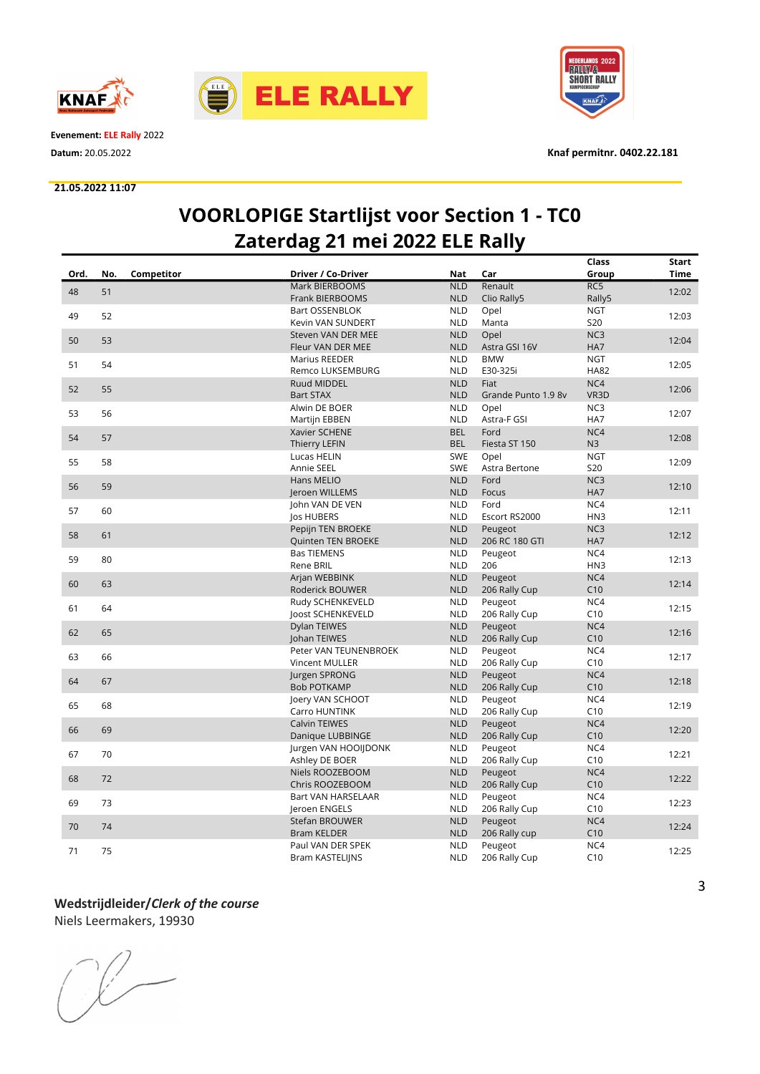



Evenement: ELE Rally 2022

#### 21.05.2022 11:07



Datum: 20.05.2022 Knaf permitnr. 0402.22.181

### VOORLOPIGE Startlijst voor Section 1 - TC0 Zaterdag 21 mei 2022 ELE Rally

|      |     |            |                           |            |                     | Class           | Start       |
|------|-----|------------|---------------------------|------------|---------------------|-----------------|-------------|
| Ord. | No. | Competitor | Driver / Co-Driver        | Nat        | Car                 | Group           | <b>Time</b> |
|      |     |            | <b>Mark BIERBOOMS</b>     | <b>NLD</b> | Renault             | RC5             |             |
| 48   | 51  |            | <b>Frank BIERBOOMS</b>    | <b>NLD</b> | Clio Rally5         | Rally5          | 12:02       |
|      |     |            | Bart OSSENBLOK            | <b>NLD</b> | Opel                | <b>NGT</b>      |             |
| 49   | 52  |            | Kevin VAN SUNDERT         | <b>NLD</b> | Manta               | <b>S20</b>      | 12:03       |
|      |     |            | Steven VAN DER MEE        | <b>NLD</b> | Opel                | NC3             |             |
| 50   | 53  |            | Fleur VAN DER MEE         | <b>NLD</b> | Astra GSI 16V       | HA7             | 12:04       |
|      |     |            | Marius REEDER             | <b>NLD</b> | <b>BMW</b>          | <b>NGT</b>      |             |
| 51   | 54  |            | Remco LUKSEMBURG          | <b>NLD</b> | E30-325i            | <b>HA82</b>     | 12:05       |
|      |     |            | Ruud MIDDEL               | <b>NLD</b> | Fiat                | NC4             |             |
| 52   | 55  |            | <b>Bart STAX</b>          | <b>NLD</b> | Grande Punto 1.9 8v | VR3D            | 12:06       |
|      |     |            | Alwin DE BOER             | <b>NLD</b> | Opel                | NC <sub>3</sub> |             |
| 53   | 56  |            | Martijn EBBEN             | <b>NLD</b> | Astra-F GSI         | HA7             | 12:07       |
|      |     |            | Xavier SCHENE             | <b>BEL</b> | Ford                | NC4             |             |
| 54   | 57  |            | Thierry LEFIN             | <b>BEL</b> | Fiesta ST 150       | N <sub>3</sub>  | 12:08       |
|      |     |            | Lucas HELIN               | <b>SWE</b> | Opel                | <b>NGT</b>      |             |
| 55   | 58  |            | Annie SEEL                | <b>SWE</b> | Astra Bertone       | <b>S20</b>      | 12:09       |
|      |     |            | Hans MELIO                | <b>NLD</b> | Ford                | NC <sub>3</sub> |             |
| 56   | 59  |            | Jeroen WILLEMS            | <b>NLD</b> | Focus               | HA7             | 12:10       |
|      |     |            | John VAN DE VEN           | <b>NLD</b> | Ford                | NC4             |             |
| 57   | 60  |            | Jos HUBERS                | <b>NLD</b> | Escort RS2000       | HN3             | 12:11       |
|      |     |            | Pepijn TEN BROEKE         | <b>NLD</b> | Peugeot             | NC <sub>3</sub> |             |
| 58   | 61  |            | <b>Quinten TEN BROEKE</b> | <b>NLD</b> | 206 RC 180 GTI      | HA7             | 12:12       |
|      |     |            | <b>Bas TIEMENS</b>        | <b>NLD</b> | Peugeot             | NC4             |             |
| 59   | 80  |            | Rene BRIL                 | <b>NLD</b> | 206                 | HN3             | 12:13       |
|      |     |            | Arjan WEBBINK             | <b>NLD</b> | Peugeot             | NC4             |             |
| 60   | 63  |            | Roderick BOUWER           | <b>NLD</b> | 206 Rally Cup       | C10             | 12:14       |
|      |     |            | Rudy SCHENKEVELD          | <b>NLD</b> | Peugeot             | NC4             |             |
| 61   | 64  |            | Joost SCHENKEVELD         | <b>NLD</b> | 206 Rally Cup       | C10             | 12:15       |
|      |     |            | Dylan TEIWES              | <b>NLD</b> | Peugeot             | NC4             |             |
| 62   | 65  |            | Johan TEIWES              | <b>NLD</b> | 206 Rally Cup       | C10             | 12:16       |
|      |     |            | Peter VAN TEUNENBROEK     | <b>NLD</b> | Peugeot             | NC4             |             |
| 63   | 66  |            | Vincent MULLER            | <b>NLD</b> | 206 Rally Cup       | C10             | 12:17       |
|      |     |            | Jurgen SPRONG             | <b>NLD</b> | Peugeot             | NC4             |             |
| 64   | 67  |            | <b>Bob POTKAMP</b>        | <b>NLD</b> | 206 Rally Cup       | C10             | 12:18       |
|      |     |            | Joery VAN SCHOOT          | <b>NLD</b> | Peugeot             | NC4             |             |
| 65   | 68  |            | Carro HUNTINK             | <b>NLD</b> | 206 Rally Cup       | C10             | 12:19       |
|      |     |            | <b>Calvin TEIWES</b>      | <b>NLD</b> | Peugeot             | NC4             |             |
| 66   | 69  |            | Danique LUBBINGE          | <b>NLD</b> | 206 Rally Cup       | C10             | 12:20       |
|      |     |            | Jurgen VAN HOOIJDONK      | <b>NLD</b> | Peugeot             | NC4             |             |
| 67   | 70  |            | Ashley DE BOER            | <b>NLD</b> | 206 Rally Cup       | C10             | 12:21       |
|      |     |            | Niels ROOZEBOOM           | <b>NLD</b> | Peugeot             | NC4             |             |
| 68   | 72  |            | Chris ROOZEBOOM           | <b>NLD</b> | 206 Rally Cup       | C10             | 12:22       |
|      |     |            | Bart VAN HARSELAAR        | <b>NLD</b> | Peugeot             | NC4             |             |
| 69   | 73  |            | Jeroen ENGELS             | <b>NLD</b> | 206 Rally Cup       | C10             | 12:23       |
|      |     |            | Stefan BROUWER            | <b>NLD</b> | Peugeot             | NC4             |             |
| 70   | 74  |            | <b>Bram KELDER</b>        | <b>NLD</b> | 206 Rally cup       | C10             | 12:24       |
|      |     |            | Paul VAN DER SPEK         | <b>NLD</b> | Peugeot             | NC4             |             |
| 71   | 75  |            | <b>Bram KASTELIJNS</b>    | <b>NLD</b> | 206 Rally Cup       | C10             | 12:25       |
|      |     |            |                           |            |                     |                 |             |

## Wedstrijdleider/Clerk of the course

Niels Leermakers, 19930

 $\begin{picture}(220,20) \put(0,0){\line(1,0){10}} \put(15,0){\line(1,0){10}} \put(15,0){\line(1,0){10}} \put(15,0){\line(1,0){10}} \put(15,0){\line(1,0){10}} \put(15,0){\line(1,0){10}} \put(15,0){\line(1,0){10}} \put(15,0){\line(1,0){10}} \put(15,0){\line(1,0){10}} \put(15,0){\line(1,0){10}} \put(15,0){\line(1,0){10}} \put(15,0){\line($